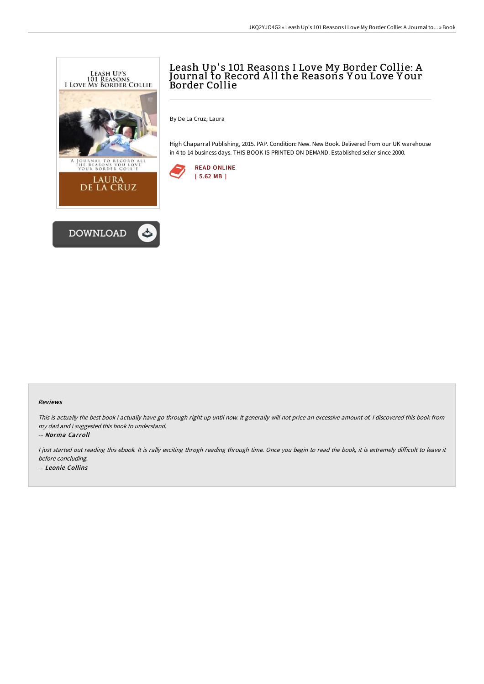

# Leash Up' s 101 Reasons I Love My Border Collie: A Journal to Record A ll the Reasons Y ou Love Y our Border Collie

By De La Cruz, Laura

High Chaparral Publishing, 2015. PAP. Condition: New. New Book. Delivered from our UK warehouse in 4 to 14 business days. THIS BOOK IS PRINTED ON DEMAND. Established seller since 2000.



### Reviews

This is actually the best book i actually have go through right up until now. It generally will not price an excessive amount of. <sup>I</sup> discovered this book from my dad and i suggested this book to understand.

-- Norma Carroll

I just started out reading this ebook. It is rally exciting throgh reading through time. Once you begin to read the book, it is extremely difficult to leave it before concluding. -- Leonie Collins